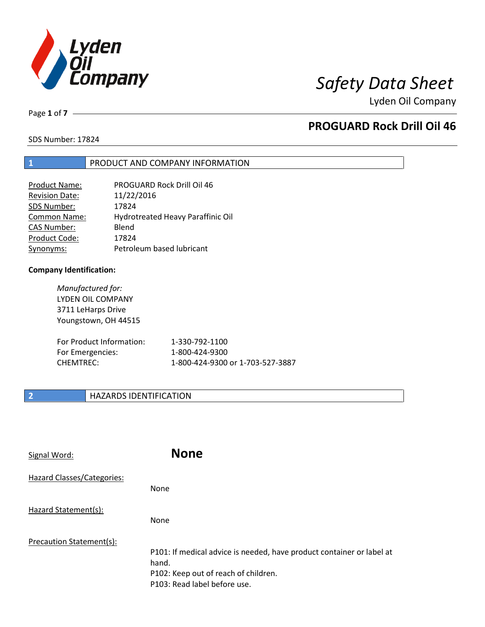

Page **1** of **7**

# **PROGUARD Rock Drill Oil 46**

SDS Number: 17824

## **1** PRODUCT AND COMPANY INFORMATION

| <b>Product Name:</b>  | PROGUARD Rock Drill Oil 46        |
|-----------------------|-----------------------------------|
| <b>Revision Date:</b> | 11/22/2016                        |
| SDS Number:           | 17824                             |
| <b>Common Name:</b>   | Hydrotreated Heavy Paraffinic Oil |
| <b>CAS Number:</b>    | Blend                             |
| Product Code:         | 17824                             |
| Synonyms:             | Petroleum based lubricant         |

### **Company Identification:**

*Manufactured for:* LYDEN OIL COMPANY 3711 LeHarps Drive Youngstown, OH 44515

| For Product Information: | 1-330-792-1100                   |
|--------------------------|----------------------------------|
| For Emergencies:         | 1-800-424-9300                   |
| CHEMTREC:                | 1-800-424-9300 or 1-703-527-3887 |

# **2 HAZARDS IDENTIFICATION**

| Signal Word:               | <b>None</b>                                                                                                                                            |
|----------------------------|--------------------------------------------------------------------------------------------------------------------------------------------------------|
| Hazard Classes/Categories: | None                                                                                                                                                   |
| Hazard Statement(s):       | None                                                                                                                                                   |
| Precaution Statement(s):   | P101: If medical advice is needed, have product container or label at<br>hand.<br>P102: Keep out of reach of children.<br>P103: Read label before use. |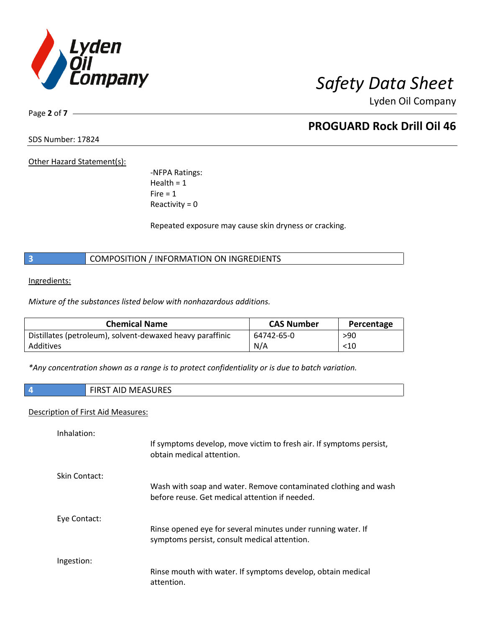

Page **2** of **7**

# **PROGUARD Rock Drill Oil 46**

SDS Number: 17824

Other Hazard Statement(s):

-NFPA Ratings: Health  $= 1$  $Fire = 1$ Reactivity  $= 0$ 

Repeated exposure may cause skin dryness or cracking.

**3** COMPOSITION / INFORMATION ON INGREDIENTS

Ingredients:

*Mixture of the substances listed below with nonhazardous additions.*

| <b>Chemical Name</b>                                      | <b>CAS Number</b> | Percentage |
|-----------------------------------------------------------|-------------------|------------|
| Distillates (petroleum), solvent-dewaxed heavy paraffinic | 64742-65-0        | >90        |
| Additives                                                 | N/A               | $<$ 10     |

*\*Any concentration shown as a range is to protect confidentiality or is due to batch variation.*

**4** FIRST AID MEASURES

# Description of First Aid Measures:

| Inhalation:          | If symptoms develop, move victim to fresh air. If symptoms persist,<br>obtain medical attention.                  |
|----------------------|-------------------------------------------------------------------------------------------------------------------|
| <b>Skin Contact:</b> | Wash with soap and water. Remove contaminated clothing and wash<br>before reuse. Get medical attention if needed. |
| Eye Contact:         | Rinse opened eye for several minutes under running water. If<br>symptoms persist, consult medical attention.      |
| Ingestion:           | Rinse mouth with water. If symptoms develop, obtain medical<br>attention.                                         |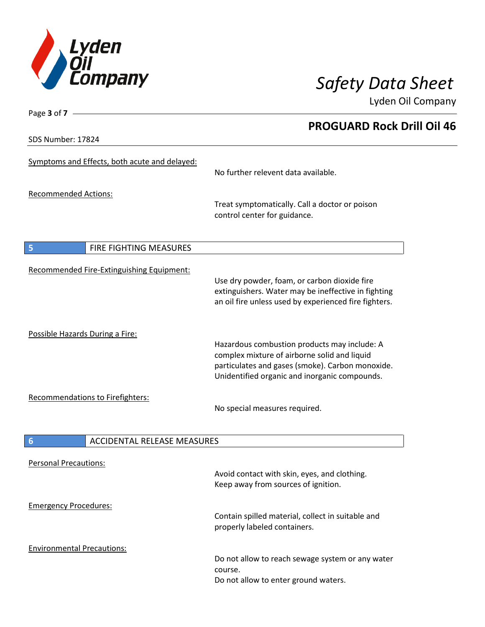

SDS Number: 17824

Page **3** of **7**

# **PROGUARD Rock Drill Oil 46**

| Symptoms and Effects, both acute and delayed:         | No further relevent data available.                                                                                                                                                               |
|-------------------------------------------------------|---------------------------------------------------------------------------------------------------------------------------------------------------------------------------------------------------|
| <b>Recommended Actions:</b>                           | Treat symptomatically. Call a doctor or poison<br>control center for guidance.                                                                                                                    |
| 5<br><b>FIRE FIGHTING MEASURES</b>                    |                                                                                                                                                                                                   |
| <b>Recommended Fire-Extinguishing Equipment:</b>      | Use dry powder, foam, or carbon dioxide fire<br>extinguishers. Water may be ineffective in fighting<br>an oil fire unless used by experienced fire fighters.                                      |
| Possible Hazards During a Fire:                       | Hazardous combustion products may include: A<br>complex mixture of airborne solid and liquid<br>particulates and gases (smoke). Carbon monoxide.<br>Unidentified organic and inorganic compounds. |
| Recommendations to Firefighters:                      | No special measures required.                                                                                                                                                                     |
| $6\phantom{1}6$<br><b>ACCIDENTAL RELEASE MEASURES</b> |                                                                                                                                                                                                   |
| <b>Personal Precautions:</b>                          | Avoid contact with skin, eyes, and clothing.<br>Keep away from sources of ignition.                                                                                                               |
| <b>Emergency Procedures:</b>                          | Contain spilled material, collect in suitable and<br>properly labeled containers.                                                                                                                 |
| <b>Environmental Precautions:</b>                     | Do not allow to reach sewage system or any water<br>course.<br>Do not allow to enter ground waters.                                                                                               |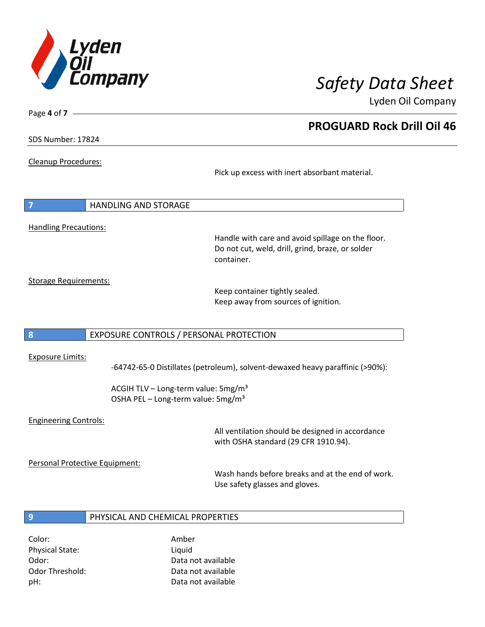

**PROGUARD Rock Drill Oil 46**

Lyden Oil Company

SDS Number: 17824

Page **4** of **7**

Cleanup Procedures:

Pick up excess with inert absorbant material.

| $\overline{7}$               | HANDLING AND STORAGE |
|------------------------------|----------------------|
|                              |                      |
| <b>Handling Precautions:</b> |                      |

Handle with care and avoid spillage on the floor. Do not cut, weld, drill, grind, braze, or solder container.

Storage Requirements:

Keep container tightly sealed. Keep away from sources of ignition.

## **8** EXPOSURE CONTROLS / PERSONAL PROTECTION

### Exposure Limits:

-64742-65-0 Distillates (petroleum), solvent-dewaxed heavy paraffinic (>90%):

ACGIH TLV – Long-term value:  $5mg/m<sup>3</sup>$ OSHA PEL - Long-term value: 5mg/m<sup>3</sup>

### Engineering Controls:

All ventilation should be designed in accordance with OSHA standard (29 CFR 1910.94).

Personal Protective Equipment:

Wash hands before breaks and at the end of work. Use safety glasses and gloves.

### **9** PHYSICAL AND CHEMICAL PROPERTIES

Color: Amber Physical State: Liquid

Odor: Data not available Odor Threshold: Data not available pH: Data not available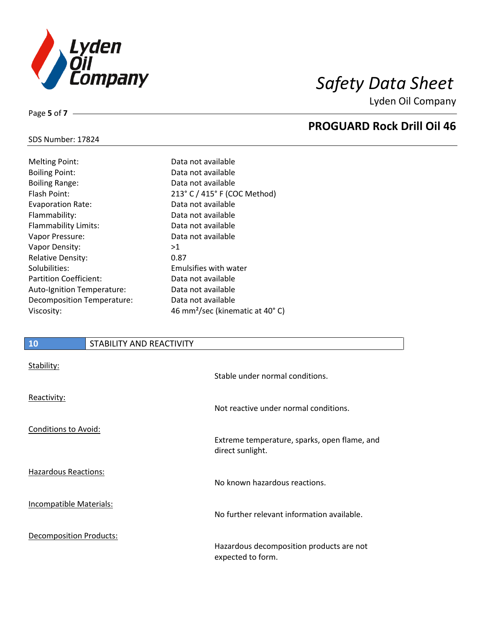

**PROGUARD Rock Drill Oil 46**

Lyden Oil Company

# SDS Number: 17824

Page **5** of **7**

| <b>Melting Point:</b>         | Data        |
|-------------------------------|-------------|
| <b>Boiling Point:</b>         | Data        |
| <b>Boiling Range:</b>         | Data        |
| Flash Point:                  | $213^\circ$ |
| <b>Evaporation Rate:</b>      | Data        |
| Flammability:                 | Data        |
| Flammability Limits:          | Data        |
| Vapor Pressure:               | Data        |
| Vapor Density:                | >1          |
| <b>Relative Density:</b>      | 0.87        |
| Solubilities:                 | Emu         |
| <b>Partition Coefficient:</b> | Data        |
| Auto-Ignition Temperature:    | Data        |
| Decomposition Temperature:    | Data        |
| Viscosity:                    | 46 m        |

Data not available Data not available Data not available 213° C / 415° F (COC Method) Data not available Data not available Data not available Data not available Emulsifies with water Data not available Data not available Data not available 46 mm<sup>2</sup>/sec (kinematic at 40° C)

## **10** STABILITY AND REACTIVITY

| Stability:                     | Stable under normal conditions.                                  |
|--------------------------------|------------------------------------------------------------------|
| Reactivity:                    | Not reactive under normal conditions.                            |
| Conditions to Avoid:           | Extreme temperature, sparks, open flame, and<br>direct sunlight. |
| Hazardous Reactions:           | No known hazardous reactions.                                    |
| <b>Incompatible Materials:</b> | No further relevant information available.                       |
| <b>Decomposition Products:</b> | Hazardous decomposition products are not<br>expected to form.    |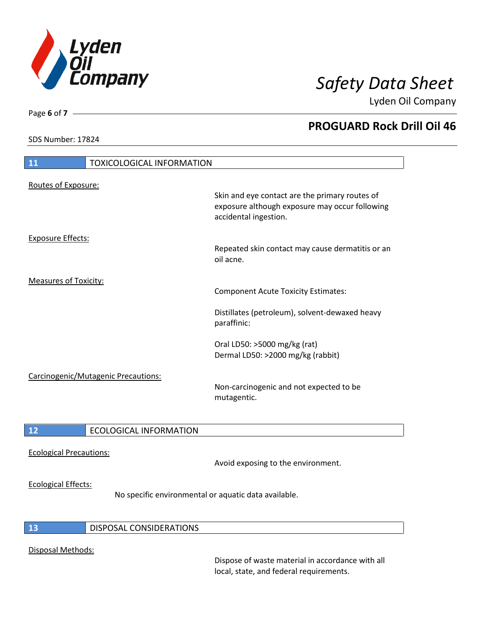

SDS Number: 17824

Page **6** of **7**

# **PROGUARD Rock Drill Oil 46**

| 11                           | <b>TOXICOLOGICAL INFORMATION</b>    |                                                                                                                           |
|------------------------------|-------------------------------------|---------------------------------------------------------------------------------------------------------------------------|
| Routes of Exposure:          |                                     | Skin and eye contact are the primary routes of<br>exposure although exposure may occur following<br>accidental ingestion. |
| <b>Exposure Effects:</b>     |                                     | Repeated skin contact may cause dermatitis or an<br>oil acne.                                                             |
| <b>Measures of Toxicity:</b> |                                     | <b>Component Acute Toxicity Estimates:</b>                                                                                |
|                              |                                     | Distillates (petroleum), solvent-dewaxed heavy<br>paraffinic:                                                             |
|                              |                                     | Oral LD50: >5000 mg/kg (rat)<br>Dermal LD50: >2000 mg/kg (rabbit)                                                         |
|                              | Carcinogenic/Mutagenic Precautions: | Non-carcinogenic and not expected to be<br>mutagentic.                                                                    |
|                              |                                     |                                                                                                                           |

# **12** ECOLOGICAL INFORMATION

Ecological Precautions:

Avoid exposing to the environment.

### Ecological Effects:

No specific environmental or aquatic data available.

## **13** DISPOSAL CONSIDERATIONS

## Disposal Methods:

Dispose of waste material in accordance with all local, state, and federal requirements.